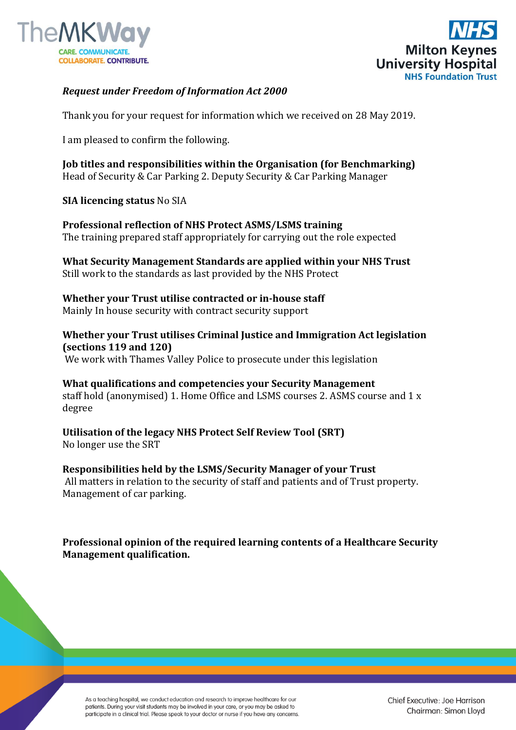



## *Request under Freedom of Information Act 2000*

Thank you for your request for information which we received on 28 May 2019.

I am pleased to confirm the following.

**Job titles and responsibilities within the Organisation (for Benchmarking)**  Head of Security & Car Parking 2. Deputy Security & Car Parking Manager

## **SIA licencing status** No SIA

**Professional reflection of NHS Protect ASMS/LSMS training**  The training prepared staff appropriately for carrying out the role expected

**What Security Management Standards are applied within your NHS Trust**  Still work to the standards as last provided by the NHS Protect

**Whether your Trust utilise contracted or in-house staff**  Mainly In house security with contract security support

**Whether your Trust utilises Criminal Justice and Immigration Act legislation (sections 119 and 120)** We work with Thames Valley Police to prosecute under this legislation

**What qualifications and competencies your Security Management**  staff hold (anonymised) 1. Home Office and LSMS courses 2. ASMS course and 1 x degree

**Utilisation of the legacy NHS Protect Self Review Tool (SRT)**  No longer use the SRT

**Responsibilities held by the LSMS/Security Manager of your Trust** All matters in relation to the security of staff and patients and of Trust property. Management of car parking.

**Professional opinion of the required learning contents of a Healthcare Security Management qualification.**

As a teaching hospital, we conduct education and research to improve healthcare for our patients. During your visit students may be involved in your care, or you may be asked to participate in a clinical trial. Please speak to your doctor or nurse if you have any concerns. Chief Executive: Joe Harrison Chairman: Simon Lloyd